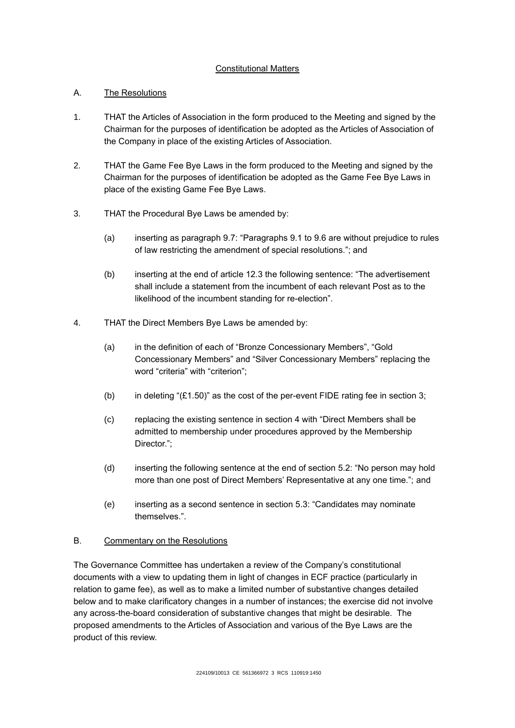# Constitutional Matters

# A. The Resolutions

- 1. THAT the Articles of Association in the form produced to the Meeting and signed by the Chairman for the purposes of identification be adopted as the Articles of Association of the Company in place of the existing Articles of Association.
- 2. THAT the Game Fee Bye Laws in the form produced to the Meeting and signed by the Chairman for the purposes of identification be adopted as the Game Fee Bye Laws in place of the existing Game Fee Bye Laws.
- 3. THAT the Procedural Bye Laws be amended by:
	- (a) inserting as paragraph 9.7: "Paragraphs 9.1 to 9.6 are without prejudice to rules of law restricting the amendment of special resolutions."; and
	- (b) inserting at the end of article 12.3 the following sentence: "The advertisement shall include a statement from the incumbent of each relevant Post as to the likelihood of the incumbent standing for re-election".
- 4. THAT the Direct Members Bye Laws be amended by:
	- (a) in the definition of each of "Bronze Concessionary Members", "Gold Concessionary Members" and "Silver Concessionary Members" replacing the word "criteria" with "criterion";
	- (b) in deleting " $(E1.50)$ " as the cost of the per-event FIDE rating fee in section 3;
	- (c) replacing the existing sentence in section 4 with "Direct Members shall be admitted to membership under procedures approved by the Membership Director.":
	- (d) inserting the following sentence at the end of section 5.2: "No person may hold more than one post of Direct Members' Representative at any one time."; and
	- (e) inserting as a second sentence in section 5.3: "Candidates may nominate themselves.".

# B. Commentary on the Resolutions

The Governance Committee has undertaken a review of the Company's constitutional documents with a view to updating them in light of changes in ECF practice (particularly in relation to game fee), as well as to make a limited number of substantive changes detailed below and to make clarificatory changes in a number of instances; the exercise did not involve any across-the-board consideration of substantive changes that might be desirable. The proposed amendments to the Articles of Association and various of the Bye Laws are the product of this review.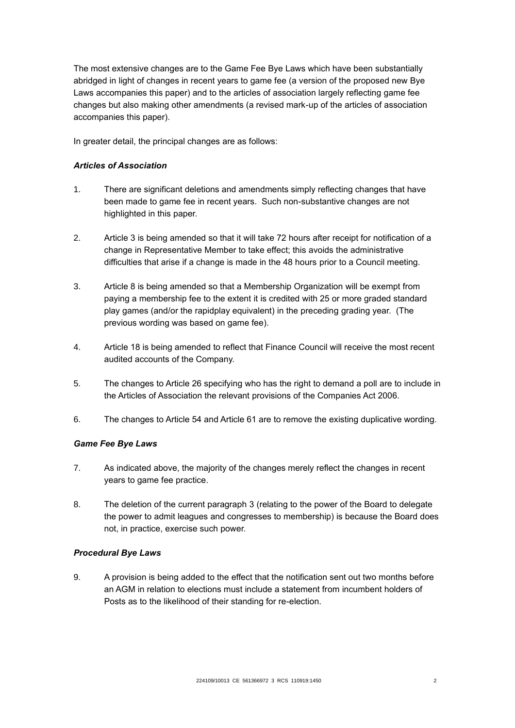The most extensive changes are to the Game Fee Bye Laws which have been substantially abridged in light of changes in recent years to game fee (a version of the proposed new Bye Laws accompanies this paper) and to the articles of association largely reflecting game fee changes but also making other amendments (a revised mark-up of the articles of association accompanies this paper).

In greater detail, the principal changes are as follows:

### *Articles of Association*

- 1. There are significant deletions and amendments simply reflecting changes that have been made to game fee in recent years. Such non-substantive changes are not highlighted in this paper.
- 2. Article 3 is being amended so that it will take 72 hours after receipt for notification of a change in Representative Member to take effect; this avoids the administrative difficulties that arise if a change is made in the 48 hours prior to a Council meeting.
- 3. Article 8 is being amended so that a Membership Organization will be exempt from paying a membership fee to the extent it is credited with 25 or more graded standard play games (and/or the rapidplay equivalent) in the preceding grading year. (The previous wording was based on game fee).
- 4. Article 18 is being amended to reflect that Finance Council will receive the most recent audited accounts of the Company.
- 5. The changes to Article 26 specifying who has the right to demand a poll are to include in the Articles of Association the relevant provisions of the Companies Act 2006.
- 6. The changes to Article 54 and Article 61 are to remove the existing duplicative wording.

#### *Game Fee Bye Laws*

- 7. As indicated above, the majority of the changes merely reflect the changes in recent years to game fee practice.
- 8. The deletion of the current paragraph 3 (relating to the power of the Board to delegate the power to admit leagues and congresses to membership) is because the Board does not, in practice, exercise such power.

#### *Procedural Bye Laws*

9. A provision is being added to the effect that the notification sent out two months before an AGM in relation to elections must include a statement from incumbent holders of Posts as to the likelihood of their standing for re-election.